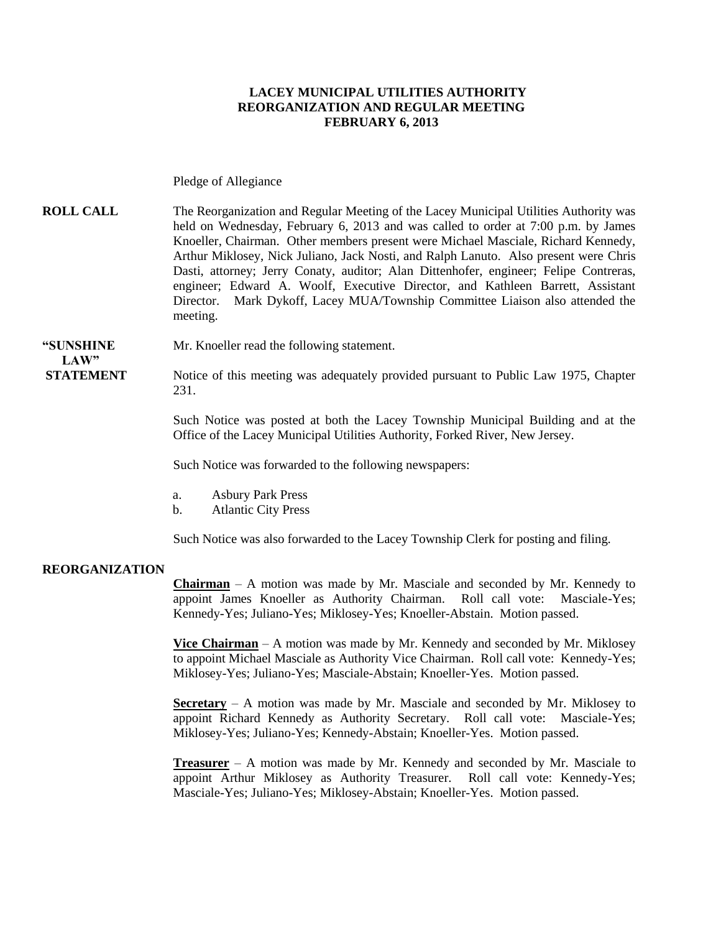### **LACEY MUNICIPAL UTILITIES AUTHORITY REORGANIZATION AND REGULAR MEETING FEBRUARY 6, 2013**

#### Pledge of Allegiance

**ROLL CALL** The Reorganization and Regular Meeting of the Lacey Municipal Utilities Authority was held on Wednesday, February 6, 2013 and was called to order at 7:00 p.m. by James Knoeller, Chairman. Other members present were Michael Masciale, Richard Kennedy, Arthur Miklosey, Nick Juliano, Jack Nosti, and Ralph Lanuto. Also present were Chris Dasti, attorney; Jerry Conaty, auditor; Alan Dittenhofer, engineer; Felipe Contreras, engineer; Edward A. Woolf, Executive Director, and Kathleen Barrett, Assistant Director. Mark Dykoff, Lacey MUA/Township Committee Liaison also attended the meeting.

### **"SUNSHINE** Mr. Knoeller read the following statement.

**STATEMENT** Notice of this meeting was adequately provided pursuant to Public Law 1975, Chapter 231.

> Such Notice was posted at both the Lacey Township Municipal Building and at the Office of the Lacey Municipal Utilities Authority, Forked River, New Jersey.

Such Notice was forwarded to the following newspapers:

- a. Asbury Park Press
- b. Atlantic City Press

Such Notice was also forwarded to the Lacey Township Clerk for posting and filing.

#### **REORGANIZATION**

 $LAW"$ 

**Chairman** – A motion was made by Mr. Masciale and seconded by Mr. Kennedy to appoint James Knoeller as Authority Chairman. Roll call vote: Masciale-Yes; Kennedy-Yes; Juliano-Yes; Miklosey-Yes; Knoeller-Abstain. Motion passed.

**Vice Chairman** – A motion was made by Mr. Kennedy and seconded by Mr. Miklosey to appoint Michael Masciale as Authority Vice Chairman. Roll call vote: Kennedy-Yes; Miklosey-Yes; Juliano-Yes; Masciale-Abstain; Knoeller-Yes. Motion passed.

**Secretary** – A motion was made by Mr. Masciale and seconded by Mr. Miklosey to appoint Richard Kennedy as Authority Secretary. Roll call vote: Masciale-Yes; Miklosey-Yes; Juliano-Yes; Kennedy-Abstain; Knoeller-Yes. Motion passed.

**Treasurer** – A motion was made by Mr. Kennedy and seconded by Mr. Masciale to appoint Arthur Miklosey as Authority Treasurer. Roll call vote: Kennedy-Yes; Masciale-Yes; Juliano-Yes; Miklosey-Abstain; Knoeller-Yes. Motion passed.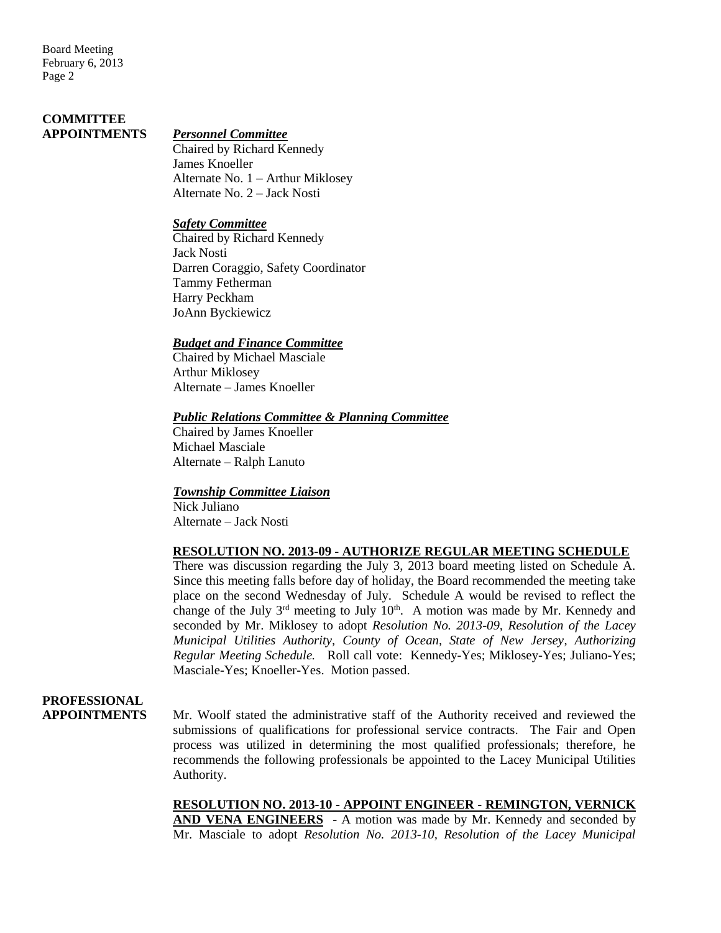# **COMMITTEE**

### **APPOINTMENTS** *Personnel Committee*

Chaired by Richard Kennedy James Knoeller Alternate No. 1 – Arthur Miklosey Alternate No. 2 – Jack Nosti

### *Safety Committee*

Chaired by Richard Kennedy Jack Nosti Darren Coraggio, Safety Coordinator Tammy Fetherman Harry Peckham JoAnn Byckiewicz

### *Budget and Finance Committee*

Chaired by Michael Masciale Arthur Miklosey Alternate – James Knoeller

### *Public Relations Committee & Planning Committee*

Chaired by James Knoeller Michael Masciale Alternate – Ralph Lanuto

### *Township Committee Liaison*

Nick Juliano Alternate – Jack Nosti

### **RESOLUTION NO. 2013-09 - AUTHORIZE REGULAR MEETING SCHEDULE**

There was discussion regarding the July 3, 2013 board meeting listed on Schedule A. Since this meeting falls before day of holiday, the Board recommended the meeting take place on the second Wednesday of July. Schedule A would be revised to reflect the change of the July  $3<sup>rd</sup>$  meeting to July  $10<sup>th</sup>$ . A motion was made by Mr. Kennedy and seconded by Mr. Miklosey to adopt *Resolution No. 2013-09, Resolution of the Lacey Municipal Utilities Authority, County of Ocean, State of New Jersey*, *Authorizing Regular Meeting Schedule.* Roll call vote: Kennedy-Yes; Miklosey-Yes; Juliano-Yes; Masciale-Yes; Knoeller-Yes. Motion passed.

## **PROFESSIONAL**

**APPOINTMENTS** Mr. Woolf stated the administrative staff of the Authority received and reviewed the submissions of qualifications for professional service contracts. The Fair and Open process was utilized in determining the most qualified professionals; therefore, he recommends the following professionals be appointed to the Lacey Municipal Utilities Authority.

> **RESOLUTION NO. 2013-10 - APPOINT ENGINEER - REMINGTON, VERNICK AND VENA ENGINEERS** - A motion was made by Mr. Kennedy and seconded by Mr. Masciale to adopt *Resolution No. 2013-10, Resolution of the Lacey Municipal*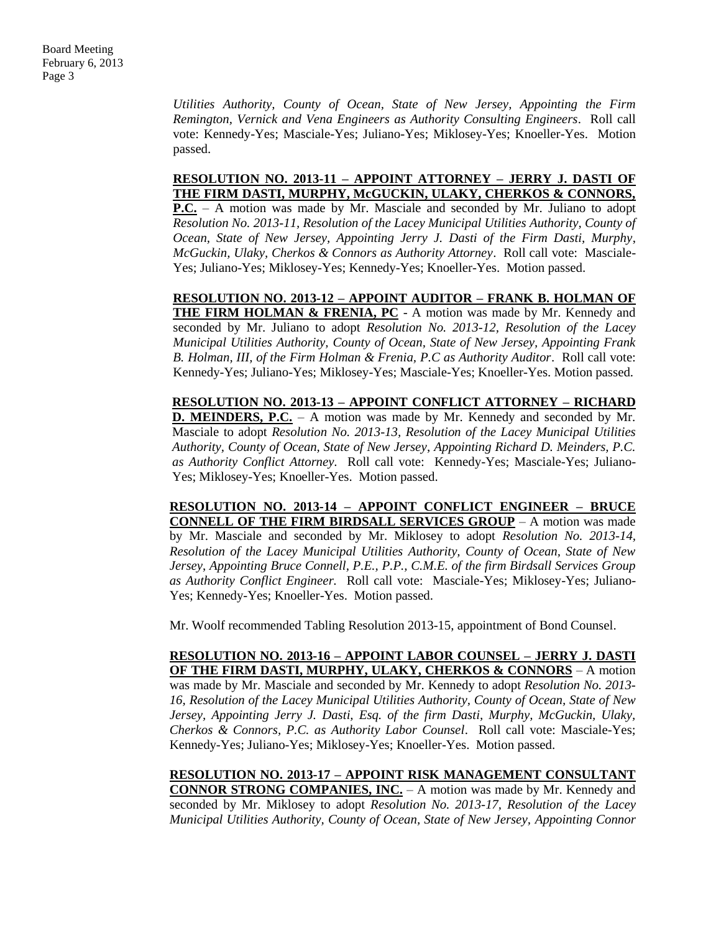*Utilities Authority, County of Ocean, State of New Jersey, Appointing the Firm Remington, Vernick and Vena Engineers as Authority Consulting Engineers*. Roll call vote: Kennedy-Yes; Masciale-Yes; Juliano-Yes; Miklosey-Yes; Knoeller-Yes. Motion passed.

### **RESOLUTION NO. 2013-11 – APPOINT ATTORNEY – JERRY J. DASTI OF THE FIRM DASTI, MURPHY, McGUCKIN, ULAKY, CHERKOS & CONNORS,**

**P.C.** – A motion was made by Mr. Masciale and seconded by Mr. Juliano to adopt *Resolution No. 2013-11, Resolution of the Lacey Municipal Utilities Authority, County of Ocean, State of New Jersey, Appointing Jerry J. Dasti of the Firm Dasti, Murphy*, *McGuckin, Ulaky, Cherkos & Connors as Authority Attorney*. Roll call vote: Masciale-Yes; Juliano-Yes; Miklosey-Yes; Kennedy-Yes; Knoeller-Yes. Motion passed.

**RESOLUTION NO. 2013-12 – APPOINT AUDITOR – FRANK B. HOLMAN OF THE FIRM HOLMAN & FRENIA, PC** - A motion was made by Mr. Kennedy and seconded by Mr. Juliano to adopt *Resolution No. 2013-12, Resolution of the Lacey Municipal Utilities Authority, County of Ocean, State of New Jersey, Appointing Frank B. Holman, III, of the Firm Holman & Frenia, P.C as Authority Auditor*. Roll call vote: Kennedy-Yes; Juliano-Yes; Miklosey-Yes; Masciale-Yes; Knoeller-Yes. Motion passed.

**RESOLUTION NO. 2013-13 – APPOINT CONFLICT ATTORNEY – RICHARD D. MEINDERS, P.C.** – A motion was made by Mr. Kennedy and seconded by Mr. Masciale to adopt *Resolution No. 2013-13, Resolution of the Lacey Municipal Utilities Authority, County of Ocean, State of New Jersey*, *Appointing Richard D. Meinders, P.C. as Authority Conflict Attorney.* Roll call vote: Kennedy-Yes; Masciale-Yes; Juliano-Yes; Miklosey-Yes; Knoeller-Yes. Motion passed.

**RESOLUTION NO. 2013-14 – APPOINT CONFLICT ENGINEER – BRUCE CONNELL OF THE FIRM BIRDSALL SERVICES GROUP** – A motion was made by Mr. Masciale and seconded by Mr. Miklosey to adopt *Resolution No. 2013-14, Resolution of the Lacey Municipal Utilities Authority, County of Ocean, State of New Jersey*, *Appointing Bruce Connell, P.E., P.P., C.M.E. of the firm Birdsall Services Group as Authority Conflict Engineer.* Roll call vote: Masciale-Yes; Miklosey-Yes; Juliano-Yes; Kennedy-Yes; Knoeller-Yes. Motion passed.

Mr. Woolf recommended Tabling Resolution 2013-15, appointment of Bond Counsel.

**RESOLUTION NO. 2013-16 – APPOINT LABOR COUNSEL – JERRY J. DASTI OF THE FIRM DASTI, MURPHY, ULAKY, CHERKOS & CONNORS** – A motion was made by Mr. Masciale and seconded by Mr. Kennedy to adopt *Resolution No. 2013- 16, Resolution of the Lacey Municipal Utilities Authority, County of Ocean, State of New Jersey, Appointing Jerry J. Dasti, Esq. of the firm Dasti, Murphy, McGuckin, Ulaky, Cherkos & Connors, P.C. as Authority Labor Counsel*. Roll call vote: Masciale-Yes; Kennedy-Yes; Juliano-Yes; Miklosey-Yes; Knoeller-Yes. Motion passed.

**RESOLUTION NO. 2013-17 – APPOINT RISK MANAGEMENT CONSULTANT CONNOR STRONG COMPANIES, INC.** – A motion was made by Mr. Kennedy and seconded by Mr. Miklosey to adopt *Resolution No. 2013-17, Resolution of the Lacey Municipal Utilities Authority, County of Ocean, State of New Jersey, Appointing Connor*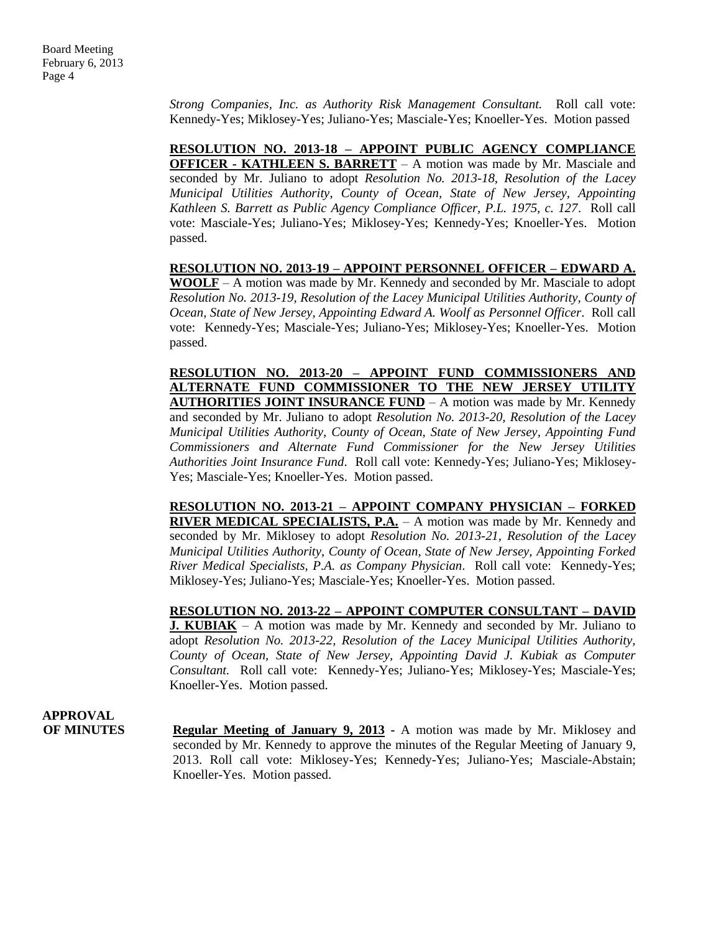*Strong Companies, Inc. as Authority Risk Management Consultant.* Roll call vote: Kennedy-Yes; Miklosey-Yes; Juliano-Yes; Masciale-Yes; Knoeller-Yes. Motion passed

**RESOLUTION NO. 2013-18 – APPOINT PUBLIC AGENCY COMPLIANCE OFFICER - KATHLEEN S. BARRETT** – A motion was made by Mr. Masciale and seconded by Mr. Juliano to adopt *Resolution No. 2013-18, Resolution of the Lacey Municipal Utilities Authority, County of Ocean, State of New Jersey, Appointing Kathleen S. Barrett as Public Agency Compliance Officer, P.L. 1975, c. 127*. Roll call vote: Masciale-Yes; Juliano-Yes; Miklosey-Yes; Kennedy-Yes; Knoeller-Yes. Motion passed.

**RESOLUTION NO. 2013-19 – APPOINT PERSONNEL OFFICER – EDWARD A. WOOLF** – A motion was made by Mr. Kennedy and seconded by Mr. Masciale to adopt *Resolution No. 2013-19, Resolution of the Lacey Municipal Utilities Authority, County of Ocean, State of New Jersey, Appointing Edward A. Woolf as Personnel Officer*. Roll call vote: Kennedy-Yes; Masciale-Yes; Juliano-Yes; Miklosey-Yes; Knoeller-Yes. Motion passed.

**RESOLUTION NO. 2013-20 – APPOINT FUND COMMISSIONERS AND ALTERNATE FUND COMMISSIONER TO THE NEW JERSEY UTILITY AUTHORITIES JOINT INSURANCE FUND** – A motion was made by Mr. Kennedy and seconded by Mr. Juliano to adopt *Resolution No. 2013-20, Resolution of the Lacey Municipal Utilities Authority, County of Ocean, State of New Jersey, Appointing Fund Commissioners and Alternate Fund Commissioner for the New Jersey Utilities Authorities Joint Insurance Fund*. Roll call vote: Kennedy-Yes; Juliano-Yes; Miklosey-Yes; Masciale-Yes; Knoeller-Yes. Motion passed.

**RESOLUTION NO. 2013-21 – APPOINT COMPANY PHYSICIAN – FORKED RIVER MEDICAL SPECIALISTS, P.A.** – A motion was made by Mr. Kennedy and seconded by Mr. Miklosey to adopt *Resolution No. 2013-21, Resolution of the Lacey Municipal Utilities Authority, County of Ocean, State of New Jersey, Appointing Forked River Medical Specialists, P.A. as Company Physician*. Roll call vote: Kennedy-Yes; Miklosey-Yes; Juliano-Yes; Masciale-Yes; Knoeller-Yes. Motion passed.

**RESOLUTION NO. 2013-22 – APPOINT COMPUTER CONSULTANT – DAVID J. KUBIAK** – A motion was made by Mr. Kennedy and seconded by Mr. Juliano to adopt *Resolution No. 2013-22, Resolution of the Lacey Municipal Utilities Authority, County of Ocean, State of New Jersey, Appointing David J. Kubiak as Computer Consultant.* Roll call vote: Kennedy-Yes; Juliano-Yes; Miklosey-Yes; Masciale-Yes; Knoeller-Yes. Motion passed.

**APPROVAL**

**OF MINUTES Regular Meeting of January 9, 2013 -** A motion was made by Mr. Miklosey and seconded by Mr. Kennedy to approve the minutes of the Regular Meeting of January 9, 2013. Roll call vote: Miklosey-Yes; Kennedy-Yes; Juliano-Yes; Masciale-Abstain; Knoeller-Yes. Motion passed.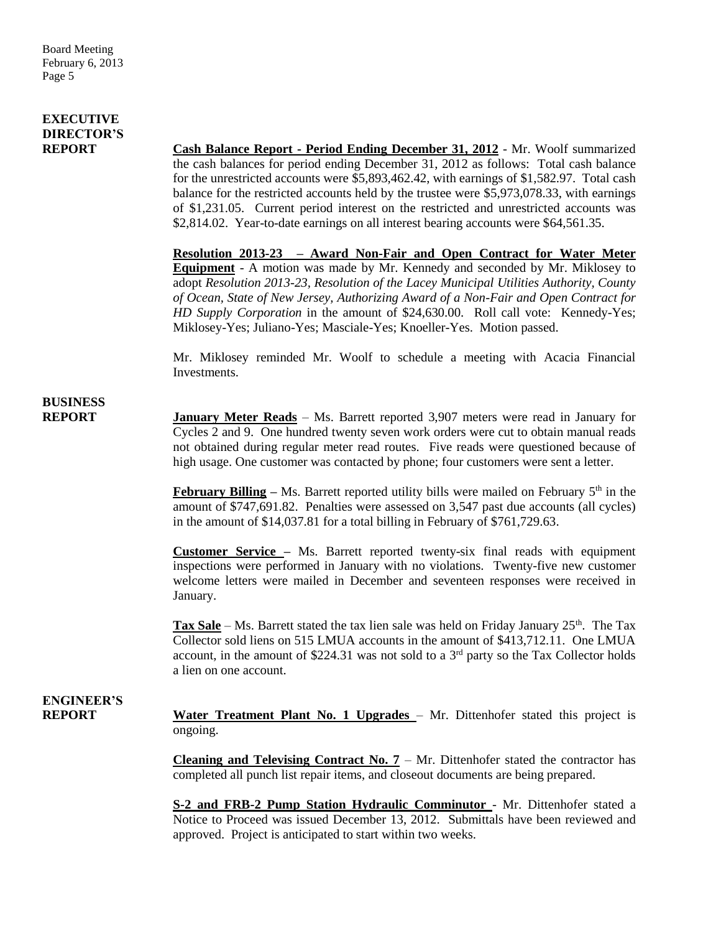### **EXECUTIVE DIRECTOR'S**

**REPORT Cash Balance Report - Period Ending December 31, 2012** - Mr. Woolf summarized the cash balances for period ending December 31, 2012 as follows: Total cash balance for the unrestricted accounts were \$5,893,462.42, with earnings of \$1,582.97. Total cash balance for the restricted accounts held by the trustee were \$5,973,078.33, with earnings of \$1,231.05. Current period interest on the restricted and unrestricted accounts was \$2,814.02. Year-to-date earnings on all interest bearing accounts were \$64,561.35.

> **Resolution 2013-23 – Award Non-Fair and Open Contract for Water Meter Equipment** - A motion was made by Mr. Kennedy and seconded by Mr. Miklosey to adopt *Resolution 2013-23, Resolution of the Lacey Municipal Utilities Authority, County of Ocean, State of New Jersey, Authorizing Award of a Non-Fair and Open Contract for HD Supply Corporation* in the amount of \$24,630.00.Roll call vote: Kennedy-Yes; Miklosey-Yes; Juliano-Yes; Masciale-Yes; Knoeller-Yes. Motion passed.

> Mr. Miklosey reminded Mr. Woolf to schedule a meeting with Acacia Financial Investments.

## **BUSINESS**

**REPORT January Meter Reads** – Ms. Barrett reported 3,907 meters were read in January for Cycles 2 and 9. One hundred twenty seven work orders were cut to obtain manual reads not obtained during regular meter read routes. Five reads were questioned because of high usage. One customer was contacted by phone; four customers were sent a letter.

> **February Billing** – Ms. Barrett reported utility bills were mailed on February 5<sup>th</sup> in the amount of \$747,691.82. Penalties were assessed on 3,547 past due accounts (all cycles) in the amount of \$14,037.81 for a total billing in February of \$761,729.63.

> **Customer Service –** Ms. Barrett reported twenty-six final reads with equipment inspections were performed in January with no violations. Twenty-five new customer welcome letters were mailed in December and seventeen responses were received in January.

> **Tax Sale** – Ms. Barrett stated the tax lien sale was held on Friday January 25<sup>th</sup>. The Tax Collector sold liens on 515 LMUA accounts in the amount of \$413,712.11. One LMUA account, in the amount of \$224.31 was not sold to a  $3<sup>rd</sup>$  party so the Tax Collector holds a lien on one account.

## **ENGINEER'S**

**REPORT Water Treatment Plant No. 1 Upgrades** – Mr. Dittenhofer stated this project is ongoing.

> **Cleaning and Televising Contract No. 7** – Mr. Dittenhofer stated the contractor has completed all punch list repair items, and closeout documents are being prepared.

> **S-2 and FRB-2 Pump Station Hydraulic Comminutor** - Mr. Dittenhofer stated a Notice to Proceed was issued December 13, 2012. Submittals have been reviewed and approved. Project is anticipated to start within two weeks.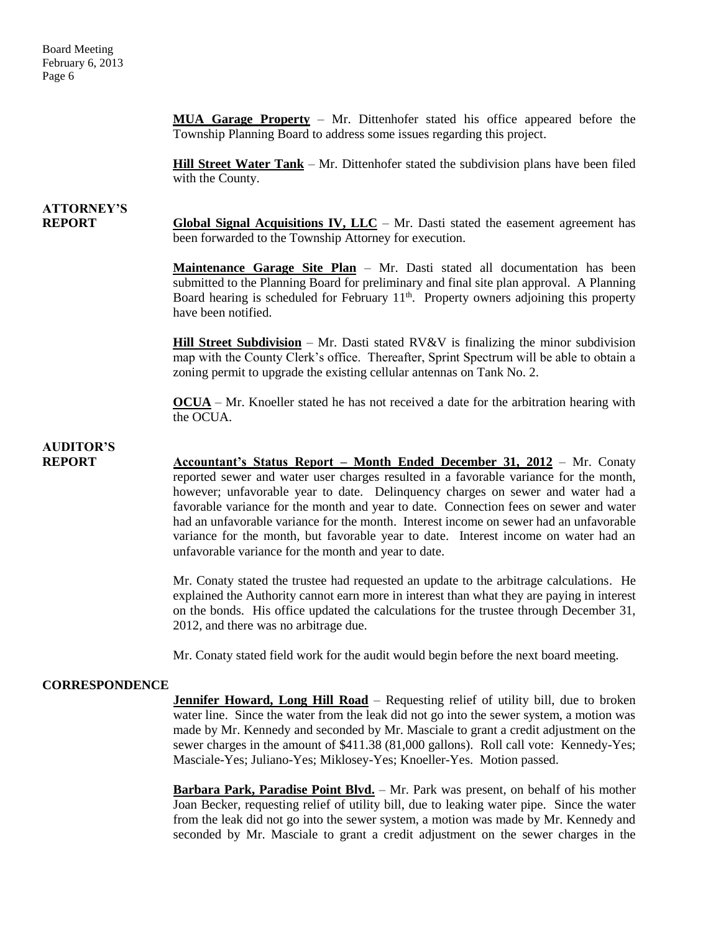**MUA Garage Property** – Mr. Dittenhofer stated his office appeared before the Township Planning Board to address some issues regarding this project.

**Hill Street Water Tank** – Mr. Dittenhofer stated the subdivision plans have been filed with the County.

# **ATTORNEY'S**

**REPORT Global Signal Acquisitions IV, LLC** – Mr. Dasti stated the easement agreement has been forwarded to the Township Attorney for execution.

> **Maintenance Garage Site Plan** – Mr. Dasti stated all documentation has been submitted to the Planning Board for preliminary and final site plan approval. A Planning Board hearing is scheduled for February 11<sup>th</sup>. Property owners adjoining this property have been notified.

> **Hill Street Subdivision** – Mr. Dasti stated RV&V is finalizing the minor subdivision map with the County Clerk's office. Thereafter, Sprint Spectrum will be able to obtain a zoning permit to upgrade the existing cellular antennas on Tank No. 2.

> **OCUA** – Mr. Knoeller stated he has not received a date for the arbitration hearing with the OCUA.

## **AUDITOR'S**

**REPORT Accountant's Status Report – Month Ended December 31, 2012** – Mr. Conaty reported sewer and water user charges resulted in a favorable variance for the month, however; unfavorable year to date. Delinquency charges on sewer and water had a favorable variance for the month and year to date. Connection fees on sewer and water had an unfavorable variance for the month. Interest income on sewer had an unfavorable variance for the month, but favorable year to date. Interest income on water had an unfavorable variance for the month and year to date.

> Mr. Conaty stated the trustee had requested an update to the arbitrage calculations. He explained the Authority cannot earn more in interest than what they are paying in interest on the bonds. His office updated the calculations for the trustee through December 31, 2012, and there was no arbitrage due.

Mr. Conaty stated field work for the audit would begin before the next board meeting.

### **CORRESPONDENCE**

**Jennifer Howard, Long Hill Road** – Requesting relief of utility bill, due to broken water line. Since the water from the leak did not go into the sewer system, a motion was made by Mr. Kennedy and seconded by Mr. Masciale to grant a credit adjustment on the sewer charges in the amount of \$411.38 (81,000 gallons). Roll call vote: Kennedy-Yes; Masciale-Yes; Juliano-Yes; Miklosey-Yes; Knoeller-Yes. Motion passed.

**Barbara Park, Paradise Point Blvd.** – Mr. Park was present, on behalf of his mother Joan Becker, requesting relief of utility bill, due to leaking water pipe. Since the water from the leak did not go into the sewer system, a motion was made by Mr. Kennedy and seconded by Mr. Masciale to grant a credit adjustment on the sewer charges in the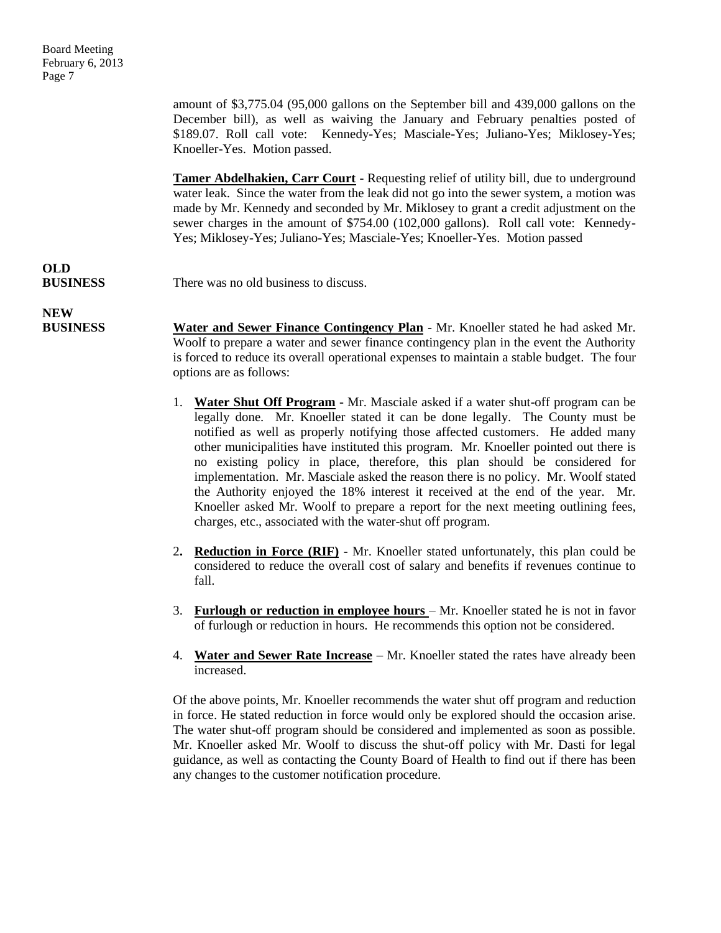amount of \$3,775.04 (95,000 gallons on the September bill and 439,000 gallons on the December bill), as well as waiving the January and February penalties posted of \$189.07. Roll call vote: Kennedy-Yes; Masciale-Yes; Juliano-Yes; Miklosey-Yes; Knoeller-Yes. Motion passed.

**Tamer Abdelhakien, Carr Court** - Requesting relief of utility bill, due to underground water leak. Since the water from the leak did not go into the sewer system, a motion was made by Mr. Kennedy and seconded by Mr. Miklosey to grant a credit adjustment on the sewer charges in the amount of \$754.00 (102,000 gallons). Roll call vote: Kennedy-Yes; Miklosey-Yes; Juliano-Yes; Masciale-Yes; Knoeller-Yes. Motion passed

# **OLD**

**BUSINESS** There was no old business to discuss.

**NEW**

**BUSINESS Water and Sewer Finance Contingency Plan** - Mr. Knoeller stated he had asked Mr. Woolf to prepare a water and sewer finance contingency plan in the event the Authority is forced to reduce its overall operational expenses to maintain a stable budget. The four options are as follows:

- 1. **Water Shut Off Program** Mr. Masciale asked if a water shut-off program can be legally done. Mr. Knoeller stated it can be done legally. The County must be notified as well as properly notifying those affected customers. He added many other municipalities have instituted this program. Mr. Knoeller pointed out there is no existing policy in place, therefore, this plan should be considered for implementation. Mr. Masciale asked the reason there is no policy. Mr. Woolf stated the Authority enjoyed the 18% interest it received at the end of the year. Mr. Knoeller asked Mr. Woolf to prepare a report for the next meeting outlining fees, charges, etc., associated with the water-shut off program.
- 2**. Reduction in Force (RIF)** Mr. Knoeller stated unfortunately, this plan could be considered to reduce the overall cost of salary and benefits if revenues continue to fall.
- 3. **Furlough or reduction in employee hours**  Mr. Knoeller stated he is not in favor of furlough or reduction in hours. He recommends this option not be considered.
- 4. **Water and Sewer Rate Increase** Mr. Knoeller stated the rates have already been increased.

Of the above points, Mr. Knoeller recommends the water shut off program and reduction in force. He stated reduction in force would only be explored should the occasion arise. The water shut-off program should be considered and implemented as soon as possible. Mr. Knoeller asked Mr. Woolf to discuss the shut-off policy with Mr. Dasti for legal guidance, as well as contacting the County Board of Health to find out if there has been any changes to the customer notification procedure.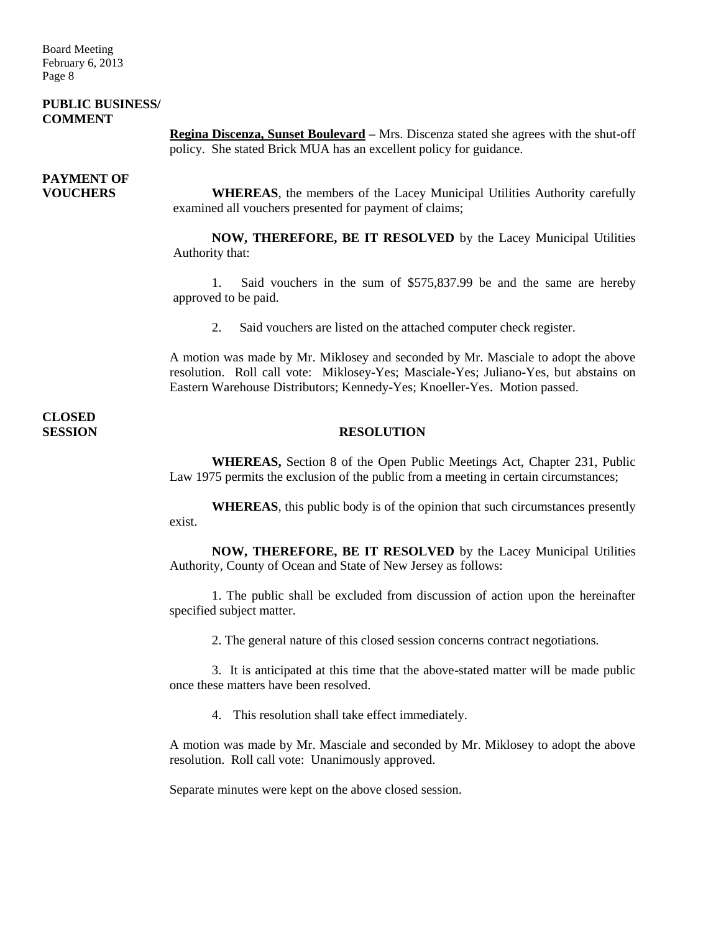### **PUBLIC BUSINESS/ COMMENT**

**Regina Discenza, Sunset Boulevard –** Mrs. Discenza stated she agrees with the shut-off policy. She stated Brick MUA has an excellent policy for guidance.

# **PAYMENT OF**

**VOUCHERS WHEREAS**, the members of the Lacey Municipal Utilities Authority carefully examined all vouchers presented for payment of claims;

> **NOW, THEREFORE, BE IT RESOLVED** by the Lacey Municipal Utilities Authority that:

> 1. Said vouchers in the sum of \$575,837.99 be and the same are hereby approved to be paid.

2. Said vouchers are listed on the attached computer check register.

A motion was made by Mr. Miklosey and seconded by Mr. Masciale to adopt the above resolution. Roll call vote: Miklosey-Yes; Masciale-Yes; Juliano-Yes, but abstains on Eastern Warehouse Distributors; Kennedy-Yes; Knoeller-Yes. Motion passed.

**CLOSED** 

### **SESSION RESOLUTION**

**WHEREAS,** Section 8 of the Open Public Meetings Act, Chapter 231, Public Law 1975 permits the exclusion of the public from a meeting in certain circumstances;

**WHEREAS**, this public body is of the opinion that such circumstances presently exist.

**NOW, THEREFORE, BE IT RESOLVED** by the Lacey Municipal Utilities Authority, County of Ocean and State of New Jersey as follows:

1. The public shall be excluded from discussion of action upon the hereinafter specified subject matter.

2. The general nature of this closed session concerns contract negotiations.

3. It is anticipated at this time that the above-stated matter will be made public once these matters have been resolved.

4. This resolution shall take effect immediately.

A motion was made by Mr. Masciale and seconded by Mr. Miklosey to adopt the above resolution. Roll call vote: Unanimously approved.

Separate minutes were kept on the above closed session.